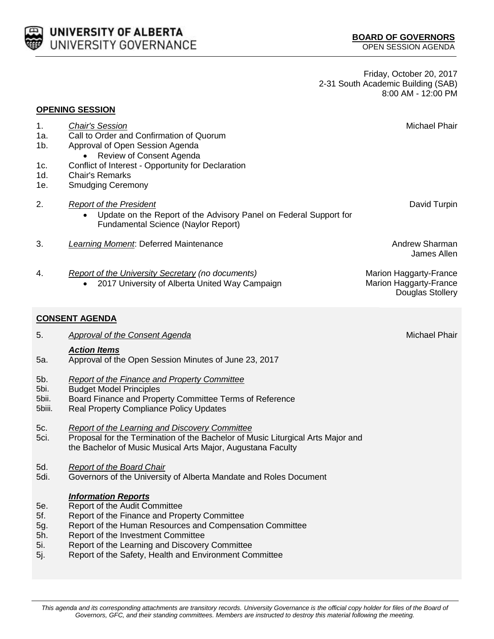

Friday, October 20, 2017 2-31 South Academic Building (SAB) 8:00 AM - 12:00 PM

| 2.<br><b>Report of the President</b><br>Update on the Report of the Advisory Panel on Federal Support for<br><b>Fundamental Science (Naylor Report)</b>                                                                                                                                                                                                             | David Turpin<br><b>Andrew Sharman</b>                                              |
|---------------------------------------------------------------------------------------------------------------------------------------------------------------------------------------------------------------------------------------------------------------------------------------------------------------------------------------------------------------------|------------------------------------------------------------------------------------|
|                                                                                                                                                                                                                                                                                                                                                                     |                                                                                    |
| 3.<br>Learning Moment: Deferred Maintenance                                                                                                                                                                                                                                                                                                                         | James Allen                                                                        |
| 4.<br><b>Report of the University Secretary (no documents)</b><br>2017 University of Alberta United Way Campaign                                                                                                                                                                                                                                                    | <b>Marion Haggarty-France</b><br><b>Marion Haggarty-France</b><br>Douglas Stollery |
| <b>CONSENT AGENDA</b>                                                                                                                                                                                                                                                                                                                                               |                                                                                    |
| 5.<br><b>Approval of the Consent Agenda</b>                                                                                                                                                                                                                                                                                                                         | <b>Michael Phair</b>                                                               |
| <b>Action Items</b><br>Approval of the Open Session Minutes of June 23, 2017<br>5а.                                                                                                                                                                                                                                                                                 |                                                                                    |
| 5b.<br><b>Report of the Finance and Property Committee</b><br>5bi.<br><b>Budget Model Principles</b><br>5bii.<br>Board Finance and Property Committee Terms of Reference<br>5biii.<br><b>Real Property Compliance Policy Updates</b>                                                                                                                                |                                                                                    |
| <b>Report of the Learning and Discovery Committee</b><br>5c.<br>Proposal for the Termination of the Bachelor of Music Liturgical Arts Major and<br>5ci.<br>the Bachelor of Music Musical Arts Major, Augustana Faculty                                                                                                                                              |                                                                                    |
| <b>Report of the Board Chair</b><br>5d.<br>5di.<br>Governors of the University of Alberta Mandate and Roles Document                                                                                                                                                                                                                                                |                                                                                    |
| <b>Information Reports</b><br>Report of the Audit Committee<br>5e.<br>5f.<br>Report of the Finance and Property Committee<br>Report of the Human Resources and Compensation Committee<br>5g.<br>Report of the Investment Committee<br>5h.<br>Report of the Learning and Discovery Committee<br>5i.<br>Report of the Safety, Health and Environment Committee<br>5j. |                                                                                    |

*This agenda and its corresponding attachments are transitory records. University Governance is the official copy holder for files of the Board of Governors, GFC, and their standing committees. Members are instructed to destroy this material following the meeting.*